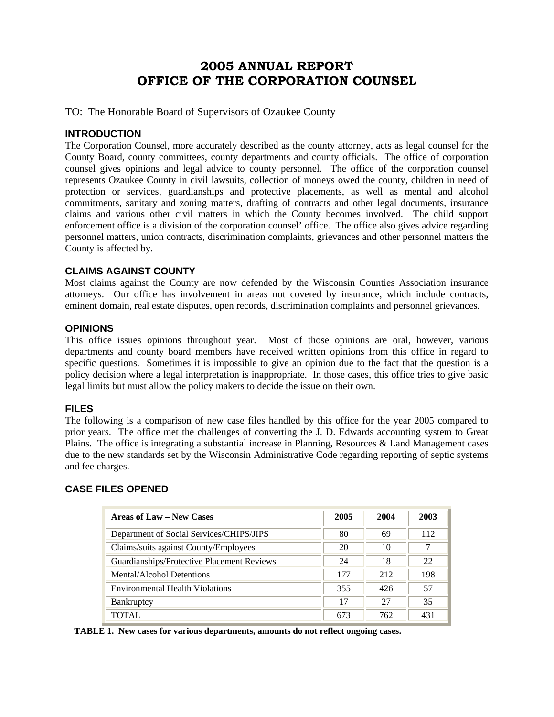# **2005 ANNUAL REPORT OFFICE OF THE CORPORATION COUNSEL**

TO: The Honorable Board of Supervisors of Ozaukee County

### **INTRODUCTION**

The Corporation Counsel, more accurately described as the county attorney, acts as legal counsel for the County Board, county committees, county departments and county officials. The office of corporation counsel gives opinions and legal advice to county personnel. The office of the corporation counsel represents Ozaukee County in civil lawsuits, collection of moneys owed the county, children in need of protection or services, guardianships and protective placements, as well as mental and alcohol commitments, sanitary and zoning matters, drafting of contracts and other legal documents, insurance claims and various other civil matters in which the County becomes involved. The child support enforcement office is a division of the corporation counsel' office. The office also gives advice regarding personnel matters, union contracts, discrimination complaints, grievances and other personnel matters the County is affected by.

#### **CLAIMS AGAINST COUNTY**

Most claims against the County are now defended by the Wisconsin Counties Association insurance attorneys. Our office has involvement in areas not covered by insurance, which include contracts, eminent domain, real estate disputes, open records, discrimination complaints and personnel grievances.

### **OPINIONS**

This office issues opinions throughout year. Most of those opinions are oral, however, various departments and county board members have received written opinions from this office in regard to specific questions. Sometimes it is impossible to give an opinion due to the fact that the question is a policy decision where a legal interpretation is inappropriate. In those cases, this office tries to give basic legal limits but must allow the policy makers to decide the issue on their own.

## **FILES**

The following is a comparison of new case files handled by this office for the year 2005 compared to prior years. The office met the challenges of converting the J. D. Edwards accounting system to Great Plains. The office is integrating a substantial increase in Planning, Resources & Land Management cases due to the new standards set by the Wisconsin Administrative Code regarding reporting of septic systems and fee charges.

## **CASE FILES OPENED**

| Areas of Law – New Cases                   | 2005 | 2004 | 2003 |
|--------------------------------------------|------|------|------|
| Department of Social Services/CHIPS/JIPS   | 80   | 69   | 112  |
| Claims/suits against County/Employees      | 20   | 10   | 7    |
| Guardianships/Protective Placement Reviews | 24   | 18   | 22   |
| <b>Mental/Alcohol Detentions</b>           | 177  | 212  | 198  |
| <b>Environmental Health Violations</b>     | 355  | 426  | 57   |
| Bankruptcy                                 | 17   | 27   | 35   |
| TOTAL                                      | 673  | 762  | 431  |

 **TABLE 1. New cases for various departments, amounts do not reflect ongoing cases.**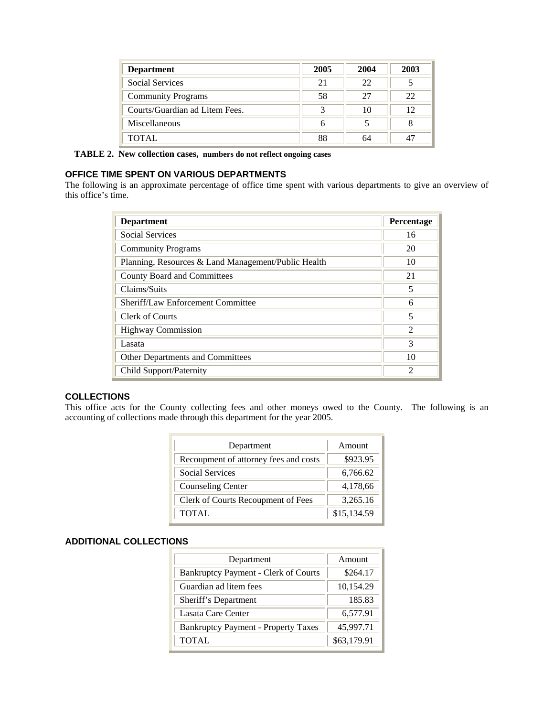| <b>Department</b>              | 2005 | 2004 | 2003 |
|--------------------------------|------|------|------|
| Social Services                | 21   | 22   |      |
| <b>Community Programs</b>      | 58   | 27   | 22   |
| Courts/Guardian ad Litem Fees. | 3    | 10   | 12   |
| Miscellaneous                  | 6    |      |      |
| TOTAL                          | 88   | 64   |      |

 **TABLE 2. New collection cases, numbers do not reflect ongoing cases**

## **OFFICE TIME SPENT ON VARIOUS DEPARTMENTS**

The following is an approximate percentage of office time spent with various departments to give an overview of this office's time.

| <b>Department</b>                                   | Percentage                                                                                                                                                           |
|-----------------------------------------------------|----------------------------------------------------------------------------------------------------------------------------------------------------------------------|
| <b>Social Services</b>                              | 16                                                                                                                                                                   |
| <b>Community Programs</b>                           | 20                                                                                                                                                                   |
| Planning, Resources & Land Management/Public Health | 10                                                                                                                                                                   |
| County Board and Committees                         | 21                                                                                                                                                                   |
| Claims/Suits                                        | 5                                                                                                                                                                    |
| Sheriff/Law Enforcement Committee                   | 6                                                                                                                                                                    |
| Clerk of Courts                                     | 5                                                                                                                                                                    |
| <b>Highway Commission</b>                           | $\mathcal{D}_{\mathcal{A}}^{\mathcal{A}}(\mathcal{A}) = \mathcal{D}_{\mathcal{A}}^{\mathcal{A}}(\mathcal{A}) = \mathcal{D}_{\mathcal{A}}^{\mathcal{A}}(\mathcal{A})$ |
| Lasata                                              | 3                                                                                                                                                                    |
| <b>Other Departments and Committees</b>             | 10                                                                                                                                                                   |
| Child Support/Paternity                             | $\mathfrak{D}$                                                                                                                                                       |

#### **COLLECTIONS**

This office acts for the County collecting fees and other moneys owed to the County. The following is an accounting of collections made through this department for the year 2005.

| Department                            | Amount      |  |
|---------------------------------------|-------------|--|
| Recoupment of attorney fees and costs | \$923.95    |  |
| <b>Social Services</b>                | 6,766.62    |  |
| <b>Counseling Center</b>              | 4,178,66    |  |
| Clerk of Courts Recoupment of Fees    | 3,265.16    |  |
| <b>TOTAL</b>                          | \$15,134.59 |  |

#### **ADDITIONAL COLLECTIONS**

| Department                                 | Amount      |  |
|--------------------------------------------|-------------|--|
| Bankruptcy Payment - Clerk of Courts       | \$264.17    |  |
| Guardian ad litem fees                     | 10,154.29   |  |
| Sheriff's Department                       | 185.83      |  |
| Lasata Care Center                         | 6,577.91    |  |
| <b>Bankruptcy Payment - Property Taxes</b> | 45,997.71   |  |
| <b>TOTAL</b>                               | \$63,179.91 |  |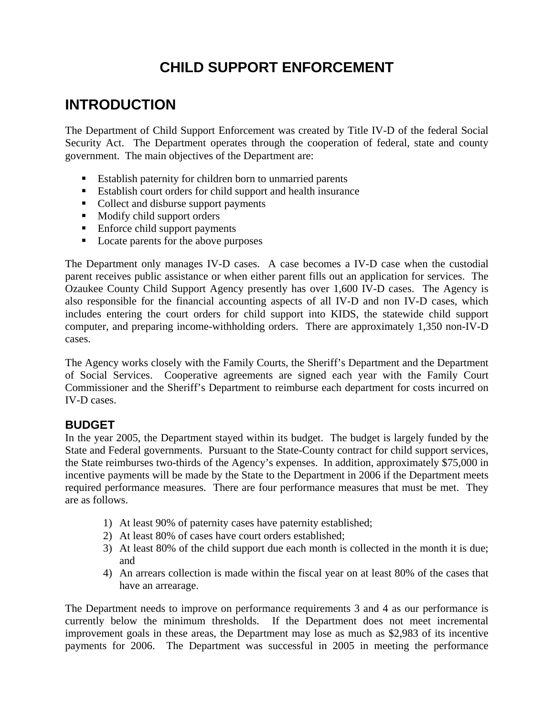# **CHILD SUPPORT ENFORCEMENT**

# **INTRODUCTION**

The Department of Child Support Enforcement was created by Title IV-D of the federal Social Security Act. The Department operates through the cooperation of federal, state and county government. The main objectives of the Department are:

- Establish paternity for children born to unmarried parents
- Establish court orders for child support and health insurance
- Collect and disburse support payments
- $\blacksquare$  Modify child support orders
- Enforce child support payments
- Locate parents for the above purposes

The Department only manages IV-D cases. A case becomes a IV-D case when the custodial parent receives public assistance or when either parent fills out an application for services. The Ozaukee County Child Support Agency presently has over 1,600 IV-D cases. The Agency is also responsible for the financial accounting aspects of all IV-D and non IV-D cases, which includes entering the court orders for child support into KIDS, the statewide child support computer, and preparing income-withholding orders. There are approximately 1,350 non-IV-D cases.

The Agency works closely with the Family Courts, the Sheriff's Department and the Department of Social Services. Cooperative agreements are signed each year with the Family Court Commissioner and the Sheriff's Department to reimburse each department for costs incurred on IV-D cases.

# **BUDGET**

In the year 2005, the Department stayed within its budget. The budget is largely funded by the State and Federal governments. Pursuant to the State-County contract for child support services, the State reimburses two-thirds of the Agency's expenses. In addition, approximately \$75,000 in incentive payments will be made by the State to the Department in 2006 if the Department meets required performance measures. There are four performance measures that must be met. They are as follows.

- 1) At least 90% of paternity cases have paternity established;
- 2) At least 80% of cases have court orders established;
- 3) At least 80% of the child support due each month is collected in the month it is due; and
- 4) An arrears collection is made within the fiscal year on at least 80% of the cases that have an arrearage.

The Department needs to improve on performance requirements 3 and 4 as our performance is currently below the minimum thresholds. If the Department does not meet incremental improvement goals in these areas, the Department may lose as much as \$2,983 of its incentive payments for 2006. The Department was successful in 2005 in meeting the performance